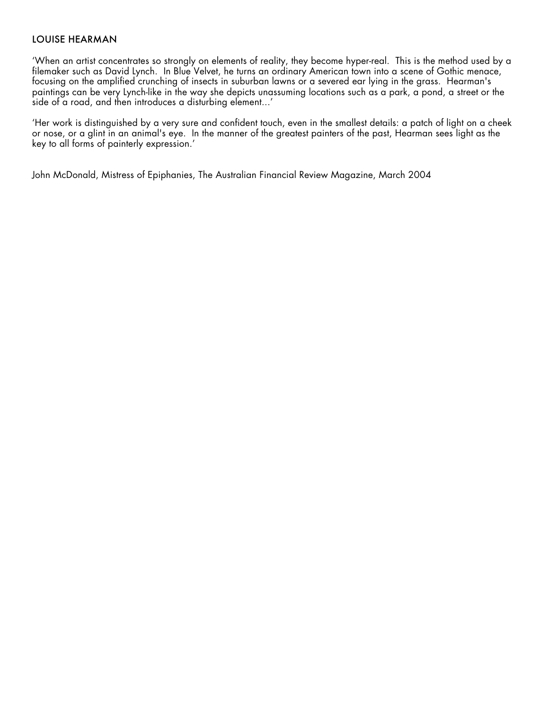### LOUISE HEARMAN

'When an artist concentrates so strongly on elements of reality, they become hyper-real. This is the method used by a filemaker such as David Lynch. In Blue Velvet, he turns an ordinary American fown into a scene of Gothic menace, focusing on the amplified crunching of insects in suburban lawns or a severed ear lying in the grass. Hearman's paintings can be very Lynch-like in the way she depicts unassuming locations such as a park, a pond, a street or the side of a road, and then introduces a disturbing element...'

'Her work is distinguished by a very sure and confident touch, even in the smallest details: a patch of light on a cheek or nose, or a glint in an animal's eye. In the manner of the greatest painters of the past, Hearman sees light as the key to all forms of painterly expression.'

John McDonald, Mistress of Epiphanies, The Australian Financial Review Magazine, March 2004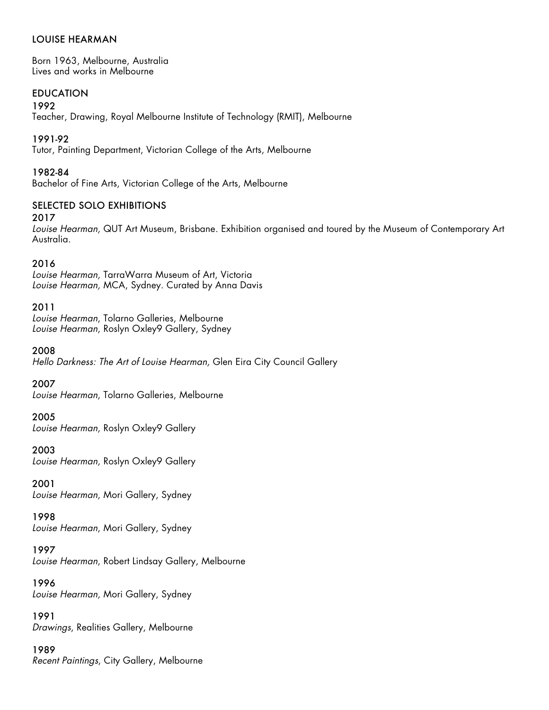# LOUISE HEARMAN

Born 1963, Melbourne, Australia Lives and works in Melbourne

# EDUCATION

1992

Teacher, Drawing, Royal Melbourne Institute of Technology (RMIT), Melbourne

### 1991-92

Tutor, Painting Department, Victorian College of the Arts, Melbourne

### 1982-84

Bachelor of Fine Arts, Victorian College of the Arts, Melbourne

# SELECTED SOLO EXHIBITIONS

2017

*Louise Hearman,* QUT Art Museum, Brisbane. Exhibition organised and toured by the Museum of Contemporary Art Australia.

### 2016

*Louise Hearman,* TarraWarra Museum of Art, Victoria *Louise Hearman,* MCA, Sydney. Curated by Anna Davis

### 2011

*Louise Hearman*, Tolarno Galleries, Melbourne *Louise Hearman*, Roslyn Oxley9 Gallery, Sydney

2008

*Hello Darkness: The Art of Louise Hearman,* Glen Eira City Council Gallery

2007

*Louise Hearman*, Tolarno Galleries, Melbourne

2005

*Louise Hearman*, Roslyn Oxley9 Gallery

2003 *Louise Hearman*, Roslyn Oxley9 Gallery

2001 *Louise Hearman*, Mori Gallery, Sydney

1998 *Louise Hearman*, Mori Gallery, Sydney

### 1997

*Louise Hearman*, Robert Lindsay Gallery, Melbourne

### 1996

*Louise Hearman*, Mori Gallery, Sydney

1991 *Drawings*, Realities Gallery, Melbourne

# 1989 *Recent Paintings*, City Gallery, Melbourne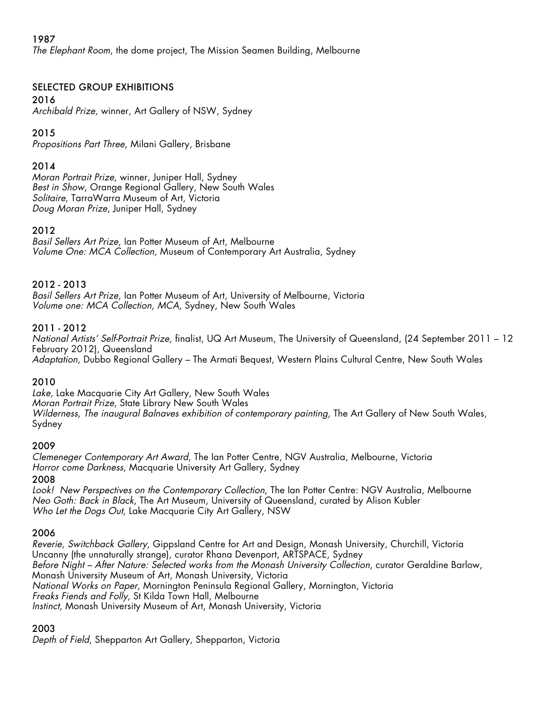# 1987

*The Elephant Room*, the dome project, The Mission Seamen Building, Melbourne

# SELECTED GROUP EXHIBITIONS

# 2016

*Archibald Prize,* winner, Art Gallery of NSW, Sydney

# 2015

*Propositions Part Three*, Milani Gallery, Brisbane

# 2014

*Moran Portrait Prize*, winner, Juniper Hall, Sydney *Best in Show*, Orange Regional Gallery, New South Wales *Solitaire*, TarraWarra Museum of Art, Victoria *Doug Moran Prize*, Juniper Hall, Sydney

# 2012

*Basil Sellers Art Prize*, Ian Potter Museum of Art, Melbourne *Volume One: MCA Collection*, Museum of Contemporary Art Australia, Sydney

# 2012 - 2013

*Basil Sellers Art Prize*, Ian Potter Museum of Art, University of Melbourne, Victoria *Volume one: MCA Collection, MCA*, Sydney, New South Wales

# 2011 - 2012

*National Artists' Self-Portrait Prize*, finalist, UQ Art Museum, The University of Queensland, (24 September 2011 – 12 February 2012), Queensland *Adaptation*, Dubbo Regional Gallery – The Armati Bequest, Western Plains Cultural Centre, New South Wales

# 2010

*Lake,* Lake Macquarie City Art Gallery, New South Wales *Moran Portrait Prize*, State Library New South Wales *Wilderness, The inaugural Balnaves exhibition of contemporary painting*, The Art Gallery of New South Wales, Sydney

# 2009

*Clemeneger Contemporary Art Award*, The Ian Potter Centre, NGV Australia, Melbourne, Victoria *Horror come Darkness*, Macquarie University Art Gallery, Sydney

2008

*Look! New Perspectives on the Contemporary Collection*, The Ian Potter Centre: NGV Australia, Melbourne *Neo Goth: Back in Black*, The Art Museum, University of Queensland, curated by Alison Kubler *Who Let the Dogs Out*, Lake Macquarie City Art Gallery, NSW

# 2006

*Reverie, Switchback Gallery*, Gippsland Centre for Art and Design, Monash University, Churchill, Victoria Uncanny (the unnaturally strange)*,* curator Rhana Devenport, ARTSPACE, Sydney *Before Night – After Nature: Selected works from the Monash University Collection*, curator Geraldine Barlow, Monash University Museum of Art, Monash University, Victoria *National Works on Paper*, Mornington Peninsula Regional Gallery, Mornington, Victoria *Freaks Fiends and Folly*, St Kilda Town Hall, Melbourne *Instinct*, Monash University Museum of Art, Monash University, Victoria

# 2003

*Depth of Field*, Shepparton Art Gallery, Shepparton, Victoria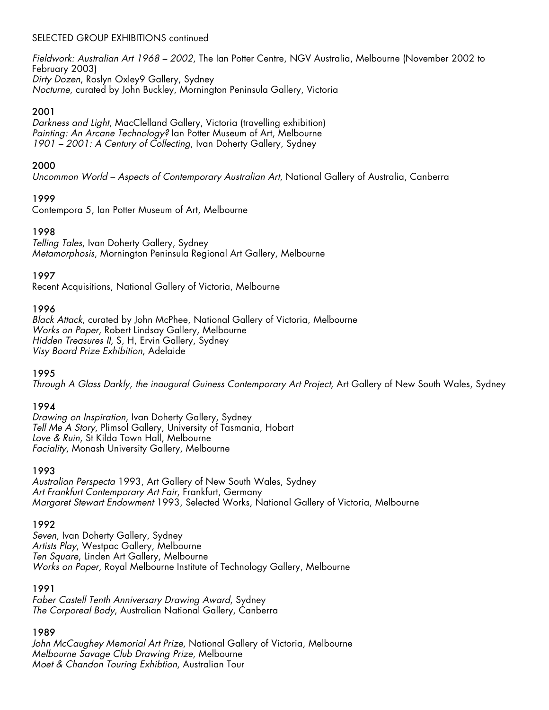# SELECTED GROUP EXHIBITIONS continued

*Fieldwork: Australian Art 1968 – 2002*, The Ian Potter Centre, NGV Australia, Melbourne (November 2002 to February 2003) *Dirty Dozen*, Roslyn Oxley9 Gallery, Sydney *Nocturne*, curated by John Buckley, Mornington Peninsula Gallery, Victoria

### 2001

*Darkness and Light*, MacClelland Gallery, Victoria (travelling exhibition) *Painting: An Arcane Technology?* Ian Potter Museum of Art, Melbourne *1901 – 2001: A Century of Collecting*, Ivan Doherty Gallery, Sydney

### 2000

*Uncommon World – Aspects of Contemporary Australian Art*, National Gallery of Australia, Canberra

# 1999

Contempora 5, Ian Potter Museum of Art, Melbourne

### 1998

*Telling Tales*, Ivan Doherty Gallery, Sydney *Metamorphosis*, Mornington Peninsula Regional Art Gallery, Melbourne

### 1997

Recent Acquisitions, National Gallery of Victoria, Melbourne

### 1996

*Black Attack*, curated by John McPhee, National Gallery of Victoria, Melbourne *Works on Paper*, Robert Lindsay Gallery, Melbourne *Hidden Treasures II,* S, H, Ervin Gallery, Sydney *Visy Board Prize Exhibition*, Adelaide

### 1995

*Through A Glass Darkly, the inaugural Guiness Contemporary Art Project*, Art Gallery of New South Wales, Sydney

### 1994

*Drawing on Inspiration*, Ivan Doherty Gallery, Sydney *Tell Me A Story*, Plimsol Gallery, University of Tasmania, Hobart *Love & Ruin*, St Kilda Town Hall, Melbourne *Faciality*, Monash University Gallery, Melbourne

### 1993

*Australian Perspecta* 1993, Art Gallery of New South Wales, Sydney *Art Frankfurt Contemporary Art Fair*, Frankfurt, Germany *Margaret Stewart Endowment* 1993, Selected Works, National Gallery of Victoria, Melbourne

### 1992

*Seven*, Ivan Doherty Gallery, Sydney *Artists Play*, Westpac Gallery, Melbourne *Ten Square*, Linden Art Gallery, Melbourne *Works on Paper,* Royal Melbourne Institute of Technology Gallery, Melbourne

### 1991

*Faber Castell Tenth Anniversary Drawing Award*, Sydney *The Corporeal Body*, Australian National Gallery, Canberra

### 1989

*John McCaughey Memorial Art Prize*, National Gallery of Victoria, Melbourne *Melbourne Savage Club Drawing Prize*, Melbourne *Moet & Chandon Touring Exhibtion*, Australian Tour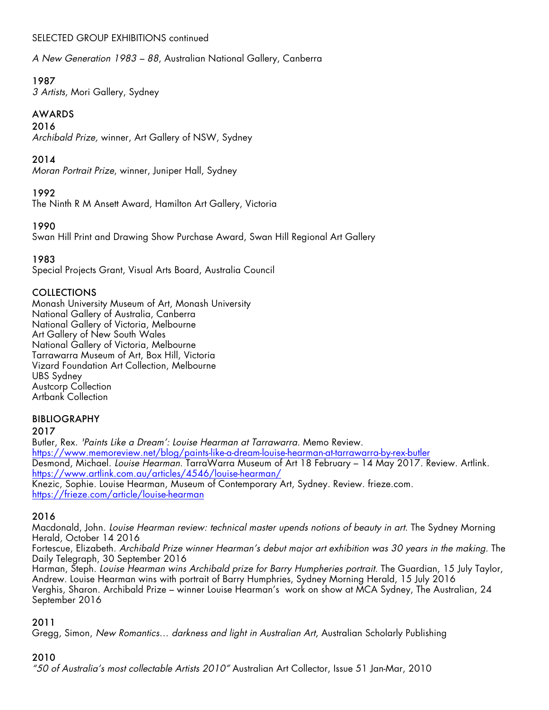# SELECTED GROUP EXHIBITIONS continued

*A New Generation 1983 – 88*, Australian National Gallery, Canberra

# 1987

*3 Artists*, Mori Gallery, Sydney

# AWARDS

### 2016

*Archibald Prize,* winner, Art Gallery of NSW, Sydney

# 2014

*Moran Portrait Prize*, winner, Juniper Hall, Sydney

# 1992

The Ninth R M Ansett Award, Hamilton Art Gallery, Victoria

# 1990

Swan Hill Print and Drawing Show Purchase Award, Swan Hill Regional Art Gallery

# 1983

Special Projects Grant, Visual Arts Board, Australia Council

# COLLECTIONS

Monash University Museum of Art, Monash University National Gallery of Australia, Canberra National Gallery of Victoria, Melbourne Art Gallery of New South Wales National Gallery of Victoria, Melbourne Tarrawarra Museum of Art, Box Hill, Victoria Vizard Foundation Art Collection, Melbourne UBS Sydney Austcorp Collection Artbank Collection

# BIBLIOGRAPHY

### 2017

Butler, Rex. *'Paints Like a Dream': Louise Hearman at Tarrawarra.* Memo Review. https://www.memoreview.net/blog/paints-like-a-dream-louise-hearman-at-tarrawarra-by-rex-butler Desmond, Michael. *Louise Hearman*. TarraWarra Museum of Art 18 February – 14 May 2017. Review. Artlink. https://www.artlink.com.au/articles/4546/louise-hearman/ Knezic, Sophie. Louise Hearman, Museum of Contemporary Art, Sydney. Review. frieze.com. https://frieze.com/article/louise-hearman

# 2016

Macdonald, John. *Louise Hearman review: technical master upends notions of beauty in art*. The Sydney Morning Herald, October 14 2016

Fortescue, Elizabeth. *Archibald Prize winner Hearman's debut major art exhibition was 30 years in the making*. The Daily Telegraph, 30 September 2016

Harman, Steph*. Louise Hearman wins Archibald prize for Barry Humpheries portrait.* The Guardian, 15 July Taylor, Andrew. Louise Hearman wins with portrait of Barry Humphries, Sydney Morning Herald, 15 July 2016 Verghis, Sharon. Archibald Prize – winner Louise Hearman's work on show at MCA Sydney, The Australian, 24 September 2016

# 2011

Gregg, Simon, *New Romantics… darkness and light in Australian Art*, Australian Scholarly Publishing

# 2010

*"50 of Australia's most collectable Artists 2010"* Australian Art Collector, Issue 51 Jan-Mar, 2010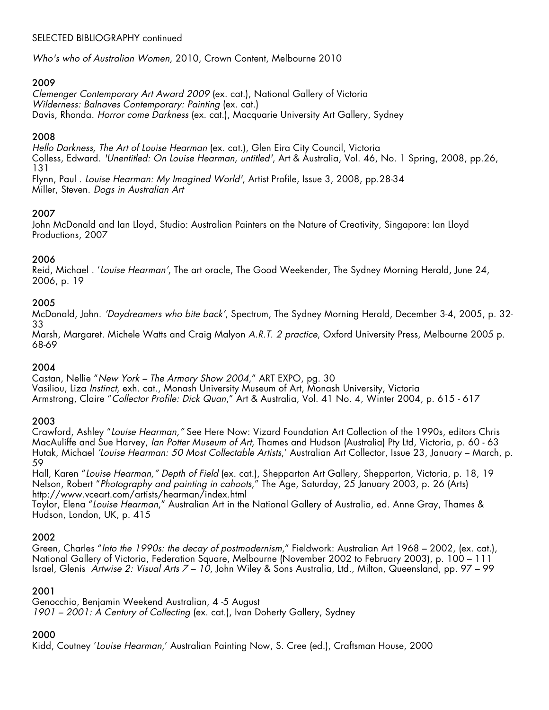# SELECTED BIBLIOGRAPHY continued

*Who's who of Australian Women*, 2010, Crown Content, Melbourne 2010

# 2009

*Clemenger Contemporary Art Award 2009* (ex. cat.), National Gallery of Victoria *Wilderness: Balnaves Contemporary: Painting* (ex. cat.) Davis, Rhonda. *Horror come Darkness* (ex. cat.), Macquarie University Art Gallery, Sydney

### 2008

*Hello Darkness, The Art of Louise Hearman* (ex. cat.), Glen Eira City Council, Victoria Colless, Edward. *'Unentitled: On Louise Hearman, untitled'*, Art & Áustralia, Vol. 46, No. 1 Spring, 2008, pp.26, 131

Flynn, Paul . *Louise Hearman: My Imagined World'*, Artist Profile, Issue 3, 2008, pp.28-34 Miller, Steven. *Dogs in Australian Art* 

### 2007

John McDonald and Ian Lloyd, Studio: Australian Painters on the Nature of Creativity, Singapore: Ian Lloyd Productions, 2007

# 2006

Reid, Michael . '*Louise Hearman'*, The art oracle, The Good Weekender, The Sydney Morning Herald, June 24, 2006, p. 19

### 2005

McDonald, John. *'Daydreamers who bite back'*, Spectrum, The Sydney Morning Herald, December 3-4, 2005, p. 32- 33

Marsh, Margaret. Michele Watts and Craig Malyon *A.R.T. 2 practice*, Oxford University Press, Melbourne 2005 p. 68-69

### 2004

Castan, Nellie "*New York – The Armory Show 2004*," ART EXPO, pg. 30 Vasiliou, Liza *Instinct*, exh. cat., Monash University Museum of Art, Monash University, Victoria Armstrong, Claire "*Collector Profile: Dick Quan*," Art & Australia, Vol. 41 No. 4, Winter 2004, p. 615 - 617

# 2003

Crawford, Ashley "*Louise Hearman,"* See Here Now: Vizard Foundation Art Collection of the 1990s, editors Chris MacAuliffe and Sue Harvey, *Ian Potter Museum of Art*, Thames and Hudson (Australia) Pty Ltd, Victoria, p. 60 - 63 Hutak, Michael *'Louise Hearman: 50 Most Collectable Artists*,' Australian Art Collector, Issue 23, January – March, p. 59

Hall, Karen "*Louise Hearman," Depth of Field* (ex. cat.), Shepparton Art Gallery, Shepparton, Victoria, p. 18, 19 Nelson, Robert "*Photography and painting in cahoots*," The Age, Saturday, 25 January 2003, p. 26 (Arts) http://www.vceart.com/artists/hearman/index.html

Taylor, Elena "*Louise Hearman*," Australian Art in the National Gallery of Australia, ed. Anne Gray, Thames & Hudson, London, UK, p. 415

### 2002

Green, Charles "*Into the 1990s: the decay of postmodernism*," Fieldwork: Australian Art 1968 – 2002, (ex. cat.), National Gallery of Victoria, Federation Square, Melbourne (November 2002 to February 2003), p. 100 – 111 Israel, Glenis *Artwise 2: Visual Arts 7 – 10*, John Wiley & Sons Australia, Ltd., Milton, Queensland, pp. 97 – 99

# 2001

Genocchio, Benjamin Weekend Australian, 4 -5 August *1901 – 2001: A Century of Collecting* (ex. cat.), Ivan Doherty Gallery, Sydney

# 2000

Kidd, Coutney '*Louise Hearman*,' Australian Painting Now, S. Cree (ed.), Craftsman House, 2000